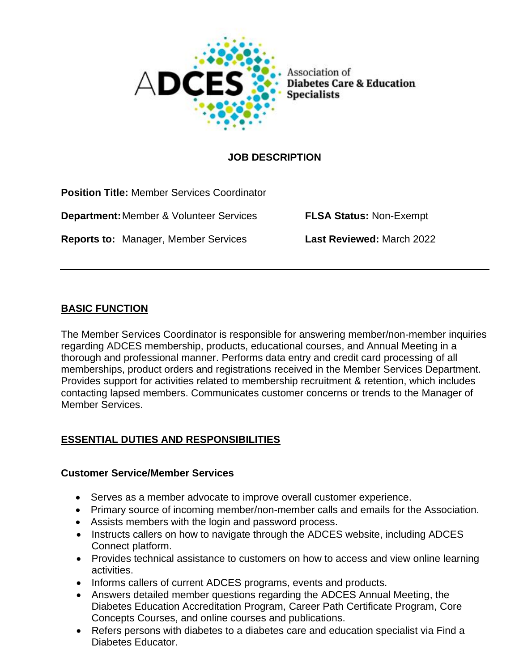

# **JOB DESCRIPTION**

| <b>Position Title: Member Services Coordinator</b> |                                  |
|----------------------------------------------------|----------------------------------|
| <b>Department: Member &amp; Volunteer Services</b> | <b>FLSA Status: Non-Exempt</b>   |
| <b>Reports to: Manager, Member Services</b>        | <b>Last Reviewed: March 2022</b> |

#### **BASIC FUNCTION**

The Member Services Coordinator is responsible for answering member/non-member inquiries regarding ADCES membership, products, educational courses, and Annual Meeting in a thorough and professional manner. Performs data entry and credit card processing of all memberships, product orders and registrations received in the Member Services Department. Provides support for activities related to membership recruitment & retention, which includes contacting lapsed members. Communicates customer concerns or trends to the Manager of Member Services.

# **ESSENTIAL DUTIES AND RESPONSIBILITIES**

#### **Customer Service/Member Services**

- Serves as a member advocate to improve overall customer experience.
- Primary source of incoming member/non-member calls and emails for the Association.
- Assists members with the login and password process.
- Instructs callers on how to navigate through the ADCES website, including ADCES Connect platform.
- Provides technical assistance to customers on how to access and view online learning activities.
- Informs callers of current ADCES programs, events and products.
- Answers detailed member questions regarding the ADCES Annual Meeting, the Diabetes Education Accreditation Program, Career Path Certificate Program, Core Concepts Courses, and online courses and publications.
- Refers persons with diabetes to a diabetes care and education specialist via Find a Diabetes Educator.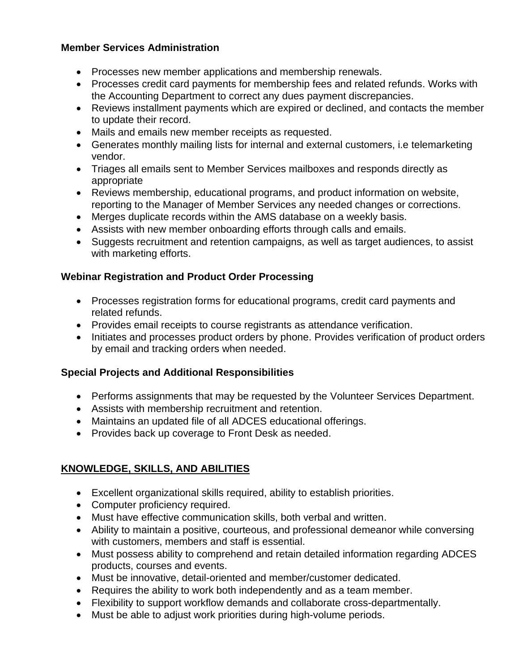# **Member Services Administration**

- Processes new member applications and membership renewals.
- Processes credit card payments for membership fees and related refunds. Works with the Accounting Department to correct any dues payment discrepancies.
- Reviews installment payments which are expired or declined, and contacts the member to update their record.
- Mails and emails new member receipts as requested.
- Generates monthly mailing lists for internal and external customers, i.e telemarketing vendor.
- Triages all emails sent to Member Services mailboxes and responds directly as appropriate
- Reviews membership, educational programs, and product information on website, reporting to the Manager of Member Services any needed changes or corrections.
- Merges duplicate records within the AMS database on a weekly basis.
- Assists with new member onboarding efforts through calls and emails.
- Suggests recruitment and retention campaigns, as well as target audiences, to assist with marketing efforts.

#### **Webinar Registration and Product Order Processing**

- Processes registration forms for educational programs, credit card payments and related refunds.
- Provides email receipts to course registrants as attendance verification.
- Initiates and processes product orders by phone. Provides verification of product orders by email and tracking orders when needed.

# **Special Projects and Additional Responsibilities**

- Performs assignments that may be requested by the Volunteer Services Department.
- Assists with membership recruitment and retention.
- Maintains an updated file of all ADCES educational offerings.
- Provides back up coverage to Front Desk as needed.

# **KNOWLEDGE, SKILLS, AND ABILITIES**

- Excellent organizational skills required, ability to establish priorities.
- Computer proficiency required.
- Must have effective communication skills, both verbal and written.
- Ability to maintain a positive, courteous, and professional demeanor while conversing with customers, members and staff is essential.
- Must possess ability to comprehend and retain detailed information regarding ADCES products, courses and events.
- Must be innovative, detail-oriented and member/customer dedicated.
- Requires the ability to work both independently and as a team member.
- Flexibility to support workflow demands and collaborate cross-departmentally.
- Must be able to adjust work priorities during high-volume periods.